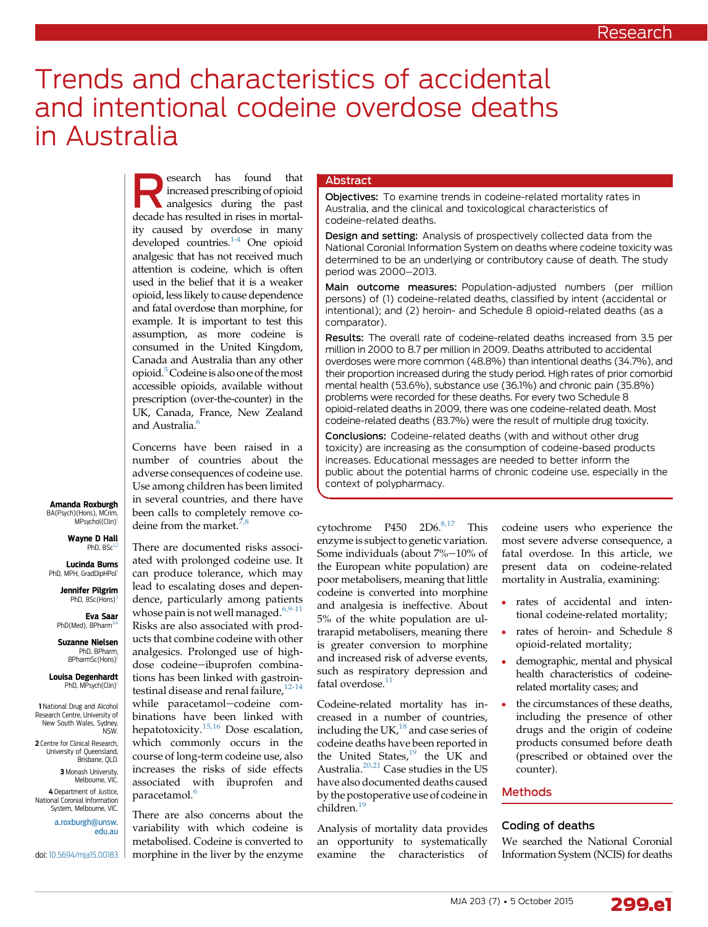# Trends and characteristics of accidental and intentional codeine overdose deaths in Australia

Search has found that<br>
increased prescribing of opioid<br>
analgesics during the past increased prescribing of opioid decade has resulted in rises in mortality caused by overdose in many developed countries.<sup>[1-4](#page-6-0)</sup> One opioid analgesic that has not received much attention is codeine, which is often used in the belief that it is a weaker opioid, less likely to cause dependence and fatal overdose than morphine, for example. It is important to test this assumption, as more codeine is consumed in the United Kingdom, Canada and Australia than any other opioid[.5](#page-6-0)Codeineis also one of themost accessible opioids, available without prescription (over-the-counter) in the UK, Canada, France, New Zealand and Australia.<sup>6</sup>

Concerns have been raised in a number of countries about the adverse consequences of codeine use. Use among children has been limited in several countries, and there have been calls to completely remove codeine from the market. $\frac{7}{2}$ 

Amanda Roxburgh BA(Psych)(Hons), MCrim, MPsychol(Clin)<sup>1</sup>

> Wayne D Hall PhD, BSc<sup>1</sup>

Lucinda Burns PhD, MPH, GradDipHPol<sup>1</sup>

> Jennifer Pilgrim PhD, BSc(Hons)

Eva Saar PhD(Med), BPharm<sup>3,4</sup>

Suzanne Nielsen PhD, BPharm,<br>BPharmSc(Hons)

Louisa Degenhardt PhD, MPsych(Clin)

1 National Drug and Alcohol Research Centre, University of New South Wales, Sydney, NSW. 2 Centre for Clinical Research University of Queensland, Brisbane, QLD. 3 Monash University, Melbourne, VIC. 4 Department of Justice, National Coronial Information System, Melbourne, VIC. [a.roxburgh@unsw.](mailto:a.roxburgh@unsw.edu.au)

[edu.au](mailto:a.roxburgh@unsw.edu.au)

doi: [10.5694/mja15.00183](http://dx.doi.org/10.5694/mja15.00183)

There are documented risks associated with prolonged codeine use. It can produce tolerance, which may lead to escalating doses and dependence, particularly among patients whose pain is not well managed. $6,9-11$ Risks are also associated with products that combine codeine with other analgesics. Prolonged use of highdose codeine-ibuprofen combinations has been linked with gastroin-testinal disease and renal failure,<sup>[12-14](#page-6-0)</sup> while paracetamol-codeine combinations have been linked with hepatotoxicity.<sup>[15,16](#page-6-0)</sup> Dose escalation, which commonly occurs in the course of long-term codeine use, also increases the risks of side effects associated with ibuprofen and paracetamol.<sup>[6](#page-6-0)</sup>

There are also concerns about the variability with which codeine is metabolised. Codeine is converted to morphine in the liver by the enzyme

## Abstract

Objectives: To examine trends in codeine-related mortality rates in Australia, and the clinical and toxicological characteristics of codeine-related deaths.

Design and setting: Analysis of prospectively collected data from the National Coronial Information System on deaths where codeine toxicity was determined to be an underlying or contributory cause of death. The study period was 2000-2013.

Main outcome measures: Population-adjusted numbers (per million persons) of (1) codeine-related deaths, classified by intent (accidental or intentional); and (2) heroin- and Schedule 8 opioid-related deaths (as a comparator).

Results: The overall rate of codeine-related deaths increased from 3.5 per million in 2000 to 8.7 per million in 2009. Deaths attributed to accidental overdoses were more common (48.8%) than intentional deaths (34.7%), and their proportion increased during the study period. High rates of prior comorbid mental health (53.6%), substance use (36.1%) and chronic pain (35.8%) problems were recorded for these deaths. For every two Schedule 8 opioid-related deaths in 2009, there was one codeine-related death. Most codeine-related deaths (83.7%) were the result of multiple drug toxicity.

Conclusions: Codeine-related deaths (with and without other drug toxicity) are increasing as the consumption of codeine-based products increases. Educational messages are needed to better inform the public about the potential harms of chronic codeine use, especially in the context of polypharmacy.

cytochrome P450 2D6.<sup>[8,17](#page-6-0)</sup> This enzyme is subject to genetic variation. Some individuals (about 7%-10% of the European white population) are poor metabolisers, meaning that little codeine is converted into morphine and analgesia is ineffective. About 5% of the white population are ultrarapid metabolisers, meaning there is greater conversion to morphine and increased risk of adverse events, such as respiratory depression and fatal overdose. $11$ 

Codeine-related mortality has increased in a number of countries, including the UK, $^{18}$  $^{18}$  $^{18}$  and case series of codeine deaths have been reported in the United States, $^{19}$  $^{19}$  $^{19}$  the UK and Australia.[20,21](#page-6-0) Case studies in the US have also documented deaths caused by the postoperative use of codeine in children.[19](#page-6-0)

Analysis of mortality data provides an opportunity to systematically examine the characteristics of

codeine users who experience the most severe adverse consequence, a fatal overdose. In this article, we present data on codeine-related mortality in Australia, examining:

- rates of accidental and intentional codeine-related mortality;
- rates of heroin- and Schedule 8 opioid-related mortality;
- demographic, mental and physical health characteristics of codeinerelated mortality cases; and
- the circumstances of these deaths, including the presence of other drugs and the origin of codeine products consumed before death (prescribed or obtained over the counter).

#### Methods

#### Coding of deaths

We searched the National Coronial Information System (NCIS) for deaths

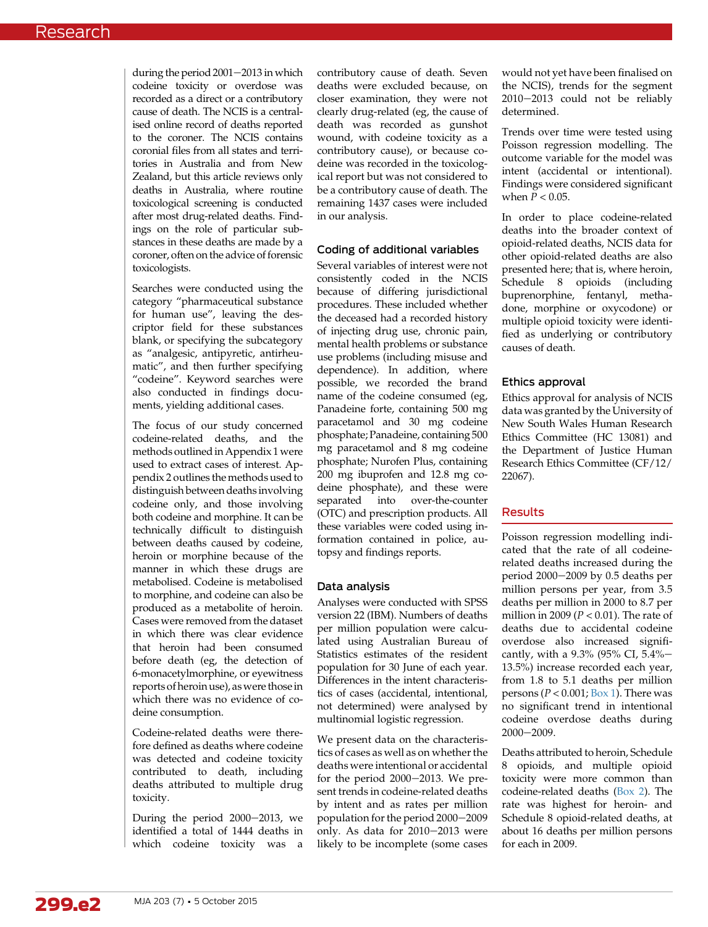during the period  $2001-2013$  in which codeine toxicity or overdose was recorded as a direct or a contributory cause of death. The NCIS is a centralised online record of deaths reported to the coroner. The NCIS contains coronial files from all states and territories in Australia and from New Zealand, but this article reviews only deaths in Australia, where routine toxicological screening is conducted after most drug-related deaths. Findings on the role of particular substances in these deaths are made by a coroner, often on the advice of forensic toxicologists.

Searches were conducted using the category "pharmaceutical substance for human use", leaving the descriptor field for these substances blank, or specifying the subcategory as "analgesic, antipyretic, antirheumatic", and then further specifying "codeine". Keyword searches were also conducted in findings documents, yielding additional cases.

The focus of our study concerned codeine-related deaths, and the methods outlined in Appendix 1 were used to extract cases of interest. Appendix 2 outlines the methods used to distinguish between deaths involving codeine only, and those involving both codeine and morphine. It can be technically difficult to distinguish between deaths caused by codeine, heroin or morphine because of the manner in which these drugs are metabolised. Codeine is metabolised to morphine, and codeine can also be produced as a metabolite of heroin. Cases were removed from the dataset in which there was clear evidence that heroin had been consumed before death (eg, the detection of 6-monacetylmorphine, or eyewitness reports of heroin use), as were thosein which there was no evidence of codeine consumption.

Codeine-related deaths were therefore defined as deaths where codeine was detected and codeine toxicity contributed to death, including deaths attributed to multiple drug toxicity.

During the period 2000-2013, we identified a total of 1444 deaths in which codeine toxicity was a

contributory cause of death. Seven deaths were excluded because, on closer examination, they were not clearly drug-related (eg, the cause of death was recorded as gunshot wound, with codeine toxicity as a contributory cause), or because codeine was recorded in the toxicological report but was not considered to be a contributory cause of death. The remaining 1437 cases were included in our analysis.

## Coding of additional variables

Several variables of interest were not consistently coded in the NCIS because of differing jurisdictional procedures. These included whether the deceased had a recorded history of injecting drug use, chronic pain, mental health problems or substance use problems (including misuse and dependence). In addition, where possible, we recorded the brand name of the codeine consumed (eg, Panadeine forte, containing 500 mg paracetamol and 30 mg codeine phosphate; Panadeine, containing 500 mg paracetamol and 8 mg codeine phosphate; Nurofen Plus, containing 200 mg ibuprofen and 12.8 mg codeine phosphate), and these were separated into over-the-counter (OTC) and prescription products. All these variables were coded using information contained in police, autopsy and findings reports.

## Data analysis

Analyses were conducted with SPSS version 22 (IBM). Numbers of deaths per million population were calculated using Australian Bureau of Statistics estimates of the resident population for 30 June of each year. Differences in the intent characteristics of cases (accidental, intentional, not determined) were analysed by multinomial logistic regression.

We present data on the characteristics of cases as well as on whether the deaths were intentional or accidental for the period  $2000-2013$ . We present trends in codeine-related deaths by intent and as rates per million population for the period 2000-2009 only. As data for  $2010-2013$  were likely to be incomplete (some cases

would not yet have been finalised on the NCIS), trends for the segment 2010-2013 could not be reliably determined.

Trends over time were tested using Poisson regression modelling. The outcome variable for the model was intent (accidental or intentional). Findings were considered significant when  $\overline{P}$  < 0.05.

In order to place codeine-related deaths into the broader context of opioid-related deaths, NCIS data for other opioid-related deaths are also presented here; that is, where heroin, Schedule 8 opioids (including buprenorphine, fentanyl, methadone, morphine or oxycodone) or multiple opioid toxicity were identified as underlying or contributory causes of death.

### Ethics approval

Ethics approval for analysis of NCIS data was granted by the University of New South Wales Human Research Ethics Committee (HC 13081) and the Department of Justice Human Research Ethics Committee (CF/12/ 22067).

## Results

Poisson regression modelling indicated that the rate of all codeinerelated deaths increased during the period  $2000-2009$  by 0.5 deaths per million persons per year, from 3.5 deaths per million in 2000 to 8.7 per million in 2009 ( $P < 0.01$ ). The rate of deaths due to accidental codeine overdose also increased significantly, with a 9.3% (95% CI,  $5.4%$ 13.5%) increase recorded each year, from 1.8 to 5.1 deaths per million persons ( $P < 0.001$ ; [Box 1](#page-2-0)). There was no significant trend in intentional codeine overdose deaths during 2000-2009.

Deaths attributed to heroin, Schedule 8 opioids, and multiple opioid toxicity were more common than codeine-related deaths ([Box 2\)](#page-2-0). The rate was highest for heroin- and Schedule 8 opioid-related deaths, at about 16 deaths per million persons for each in 2009.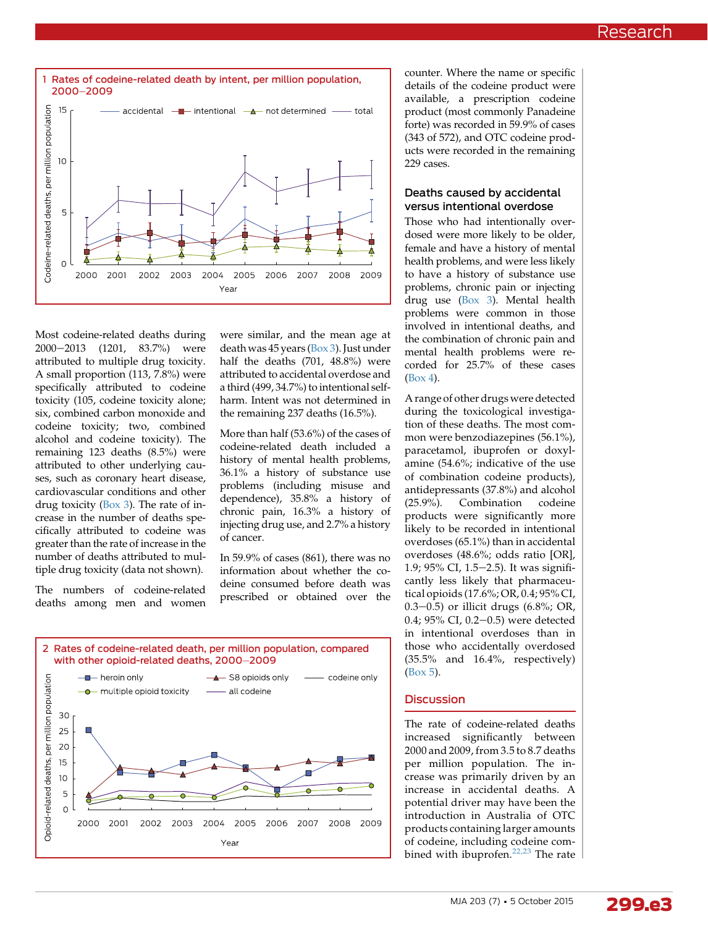<span id="page-2-0"></span>

Most codeine-related deaths during 2000-2013 (1201, 83.7%) were attributed to multiple drug toxicity. A small proportion (113, 7.8%) were specifically attributed to codeine toxicity (105, codeine toxicity alone; six, combined carbon monoxide and codeine toxicity; two, combined alcohol and codeine toxicity). The remaining 123 deaths (8.5%) were attributed to other underlying causes, such as coronary heart disease, cardiovascular conditions and other drug toxicity [\(Box 3\)](#page-3-0). The rate of increase in the number of deaths specifically attributed to codeine was greater than the rate of increase in the number of deaths attributed to multiple drug toxicity (data not shown).

The numbers of codeine-related deaths among men and women were similar, and the mean age at death was 45 years [\(Box 3](#page-3-0)). Just under half the deaths (701, 48.8%) were attributed to accidental overdose and a third (499, 34.7%) to intentional selfharm. Intent was not determined in the remaining 237 deaths (16.5%).

More than half (53.6%) of the cases of codeine-related death included a history of mental health problems, 36.1% a history of substance use problems (including misuse and dependence), 35.8% a history of chronic pain, 16.3% a history of injecting drug use, and 2.7% a history of cancer.

In 59.9% of cases (861), there was no information about whether the codeine consumed before death was prescribed or obtained over the



counter. Where the name or specific details of the codeine product were available, a prescription codeine product (most commonly Panadeine forte) was recorded in 59.9% of cases (343 of 572), and OTC codeine products were recorded in the remaining 229 cases.

#### Deaths caused by accidental versus intentional overdose

Those who had intentionally overdosed were more likely to be older, female and have a history of mental health problems, and were less likely to have a history of substance use problems, chronic pain or injecting drug use [\(Box 3](#page-3-0)). Mental health problems were common in those involved in intentional deaths, and the combination of chronic pain and mental health problems were recorded for 25.7% of these cases [\(Box 4\)](#page-3-0).

A range of other drugs were detected during the toxicological investigation of these deaths. The most common were benzodiazepines (56.1%), paracetamol, ibuprofen or doxylamine (54.6%; indicative of the use of combination codeine products), antidepressants (37.8%) and alcohol<br>(25.9%). Combination codeine Combination codeine products were significantly more likely to be recorded in intentional overdoses (65.1%) than in accidental overdoses (48.6%; odds ratio [OR], 1.9; 95% CI, 1.5-2.5). It was significantly less likely that pharmaceutical opioids (17.6%; OR, 0.4; 95% CI, 0.3–0.5) or illicit drugs (6.8%; OR, 0.4; 95% CI, 0.2-0.5) were detected in intentional overdoses than in those who accidentally overdosed (35.5% and 16.4%, respectively) ([Box 5\)](#page-4-0).

## **Discussion**

The rate of codeine-related deaths increased significantly between 2000 and 2009, from 3.5 to 8.7 deaths per million population. The increase was primarily driven by an increase in accidental deaths. A potential driver may have been the introduction in Australia of OTC products containing larger amounts of codeine, including codeine com-bined with ibuprofen.<sup>[22,23](#page-6-0)</sup> The rate

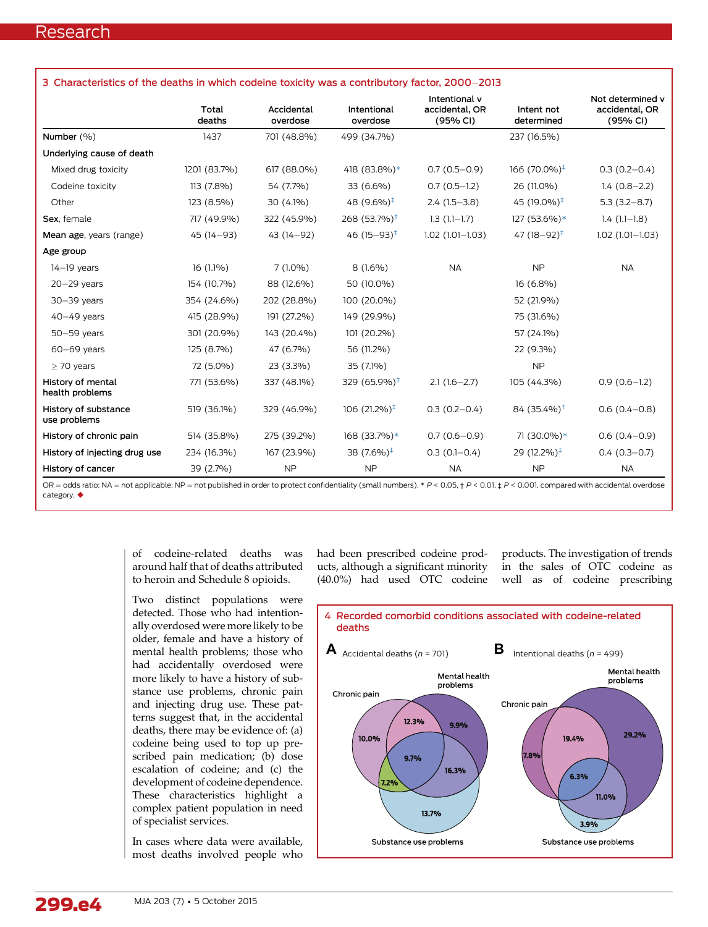<span id="page-3-0"></span>

| 3 Characteristics of the deaths in which codeine toxicity was a contributory factor, 2000–2013 |                 |                        |                          |                                             |                           |                                                |  |  |  |
|------------------------------------------------------------------------------------------------|-----------------|------------------------|--------------------------|---------------------------------------------|---------------------------|------------------------------------------------|--|--|--|
|                                                                                                | Total<br>deaths | Accidental<br>overdose | Intentional<br>overdose  | Intentional y<br>accidental, OR<br>(95% CI) | Intent not<br>determined  | Not determined y<br>accidental, OR<br>(95% CI) |  |  |  |
| Number (%)                                                                                     | 1437            | 701 (48.8%)            | 499 (34.7%)              |                                             | 237 (16.5%)               |                                                |  |  |  |
| Underlying cause of death                                                                      |                 |                        |                          |                                             |                           |                                                |  |  |  |
| Mixed drug toxicity                                                                            | 1201 (83.7%)    | 617 (88.0%)            | 418 (83.8%)*             | $0.7(0.5 - 0.9)$                            | 166 $(70.0\%)^{\ddagger}$ | $0.3(0.2 - 0.4)$                               |  |  |  |
| Codeine toxicity                                                                               | 113 (7.8%)      | 54 (7.7%)              | 33 (6.6%)                | $0.7(0.5-1.2)$                              | 26 (11.0%)                | $1.4(0.8-2.2)$                                 |  |  |  |
| Other                                                                                          | 123 (8.5%)      | 30 (4.1%)              | 48 $(9.6\%)^{\ddagger}$  | $2.4(1.5-3.8)$                              | 45 (19.0%) <sup>‡</sup>   | $5.3(3.2 - 8.7)$                               |  |  |  |
| Sex, female                                                                                    | 717 (49.9%)     | 322 (45.9%)            | 268 (53.7%) <sup>†</sup> | $1.3(1.1-1.7)$                              | 127 (53.6%)*              | $1.4(1.1-1.8)$                                 |  |  |  |
| Mean age, years (range)                                                                        | 45 (14-93)      | 43 (14-92)             | 46 $(15-93)^{\ddagger}$  | $1.02(1.01 - 1.03)$                         | 47 (18-92) <sup>‡</sup>   | $1.02(1.01 - 1.03)$                            |  |  |  |
| Age group                                                                                      |                 |                        |                          |                                             |                           |                                                |  |  |  |
| $14-19$ years                                                                                  | $16(1.1\%)$     | $7(1.0\%)$             | $8(1.6\%)$               | <b>NA</b>                                   | <b>NP</b>                 | <b>NA</b>                                      |  |  |  |
| $20 - 29$ years                                                                                | 154 (10.7%)     | 88 (12.6%)             | 50 (10.0%)               |                                             | $16(6.8\%)$               |                                                |  |  |  |
| $30 - 39$ years                                                                                | 354 (24.6%)     | 202 (28.8%)            | 100 (20.0%)              |                                             | 52 (21.9%)                |                                                |  |  |  |
| $40-49$ years                                                                                  | 415 (28.9%)     | 191 (27.2%)            | 149 (29.9%)              |                                             | 75 (31.6%)                |                                                |  |  |  |
| $50 - 59$ years                                                                                | 301 (20.9%)     | 143 (20.4%)            | 101 (20.2%)              |                                             | 57 (24.1%)                |                                                |  |  |  |
| $60-69$ years                                                                                  | 125 (8.7%)      | 47 (6.7%)              | 56 (11.2%)               |                                             | 22 (9.3%)                 |                                                |  |  |  |
| $>$ 70 years                                                                                   | 72 (5.0%)       | 23 (3.3%)              | 35 (7.1%)                |                                             | <b>NP</b>                 |                                                |  |  |  |
| History of mental<br>health problems                                                           | 771 (53.6%)     | 337 (48.1%)            | 329 (65.9%) <sup>‡</sup> | $2.1(1.6-2.7)$                              | 105 (44.3%)               | $0.9(0.6-1.2)$                                 |  |  |  |
| History of substance<br>use problems                                                           | 519 (36.1%)     | 329 (46.9%)            | $106(21.2\%)^{\ddagger}$ | $0.3(0.2 - 0.4)$                            | $84(35.4\%)^{\dagger}$    | $0.6(0.4 - 0.8)$                               |  |  |  |
| History of chronic pain                                                                        | 514 (35.8%)     | 275 (39.2%)            | 168 (33.7%)*             | $0.7(0.6 - 0.9)$                            | 71 (30.0%)*               | $0.6(0.4 - 0.9)$                               |  |  |  |
| History of injecting drug use                                                                  | 234 (16.3%)     | 167 (23.9%)            | 38 (7.6%) <sup>‡</sup>   | $0.3(0.1 - 0.4)$                            | 29 (12.2%) <sup>‡</sup>   | $0.4(0.3 - 0.7)$                               |  |  |  |
| History of cancer                                                                              | 39 (2.7%)       | <b>NP</b>              | <b>NP</b>                | <b>NA</b>                                   | <b>NP</b>                 | <b>NA</b>                                      |  |  |  |

OR = odds ratio; NA = not applicable; NP = not published in order to protect confidentiality (small numbers). \* P < 0.05,  $\uparrow$  P < 0.01,  $\downarrow$  P < 0.001, compared with accidental overdose category.  $\blacklozenge$ 

> of codeine-related deaths was around half that of deaths attributed to heroin and Schedule 8 opioids.

> Two distinct populations were detected. Those who had intentionally overdosed were more likely to be older, female and have a history of mental health problems; those who had accidentally overdosed were more likely to have a history of substance use problems, chronic pain and injecting drug use. These patterns suggest that, in the accidental deaths, there may be evidence of: (a) codeine being used to top up prescribed pain medication; (b) dose escalation of codeine; and (c) the development of codeine dependence. These characteristics highlight a complex patient population in need of specialist services.

> In cases where data were available, most deaths involved people who

had been prescribed codeine products, although a significant minority (40.0%) had used OTC codeine

products. The investigation of trends in the sales of OTC codeine as well as of codeine prescribing

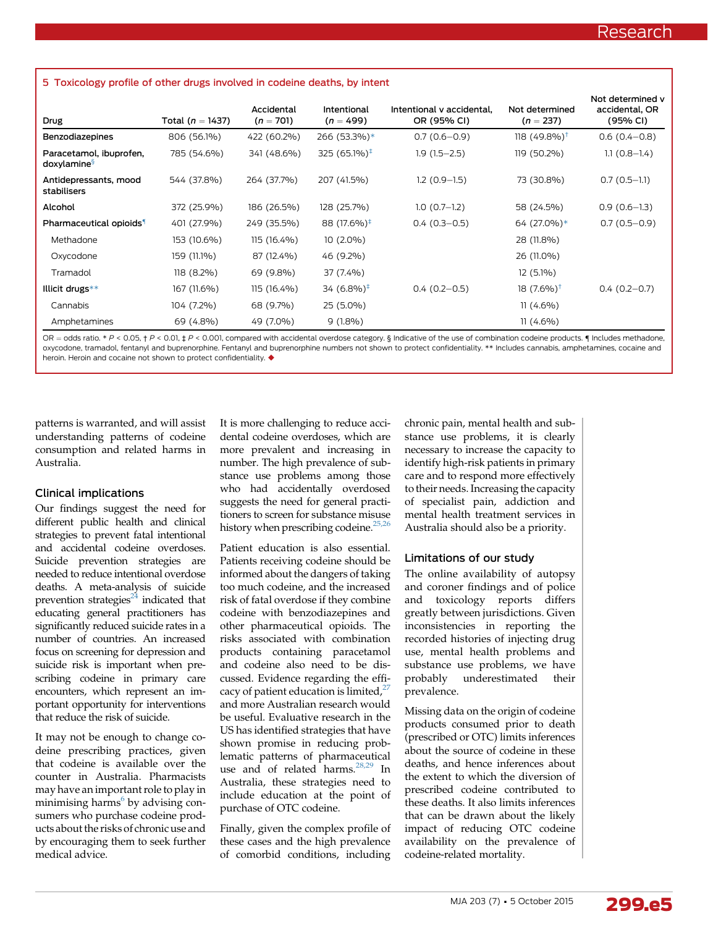<span id="page-4-0"></span>

|                                                    |                      |                           | Intentional<br>$(n = 499)$ | Intentional y accidental.<br>OR (95% CI) | Not determined<br>$(n = 237)$ | Not determined y<br>accidental, OR<br>(95% CI) |
|----------------------------------------------------|----------------------|---------------------------|----------------------------|------------------------------------------|-------------------------------|------------------------------------------------|
| Drug                                               | Total ( $n = 1437$ ) | Accidental<br>$(n = 701)$ |                            |                                          |                               |                                                |
| Benzodiazepines                                    | 806 (56.1%)          | 422 (60.2%)               | 266 (53.3%)*               | $0.7(0.6 - 0.9)$                         | $118(49.8\%)$ <sup>†</sup>    | $0.6(0.4-0.8)$                                 |
| Paracetamol, ibuprofen,<br>doxylamine <sup>§</sup> | 785 (54.6%)          | 341 (48.6%)               | 325 $(65.1\%)^{\ddagger}$  | $1.9(1.5-2.5)$                           | 119 (50.2%)                   | $1.1(0.8-1.4)$                                 |
| Antidepressants, mood<br>stabilisers               | 544 (37.8%)          | 264 (37.7%)               | 207 (41.5%)                | $1.2(0.9-1.5)$                           | 73 (30.8%)                    | $0.7(0.5-1.1)$                                 |
| Alcohol                                            | 372 (25.9%)          | 186 (26.5%)               | 128 (25.7%)                | $1.0(0.7-1.2)$                           | 58 (24.5%)                    | $0.9(0.6-1.3)$                                 |
| Pharmaceutical opioids <sup>1</sup>                | 401 (27.9%)          | 249 (35.5%)               | 88 (17.6%) <sup>‡</sup>    | $0.4(0.3-0.5)$                           | 64 (27.0%)*                   | $0.7(0.5-0.9)$                                 |
| Methadone                                          | 153 (10.6%)          | 115 (16.4%)               | $10(2.0\%)$                |                                          | 28 (11.8%)                    |                                                |
| Oxycodone                                          | 159 (11.1%)          | 87 (12.4%)                | 46 (9.2%)                  |                                          | 26 (11.0%)                    |                                                |
| Tramadol                                           | 118 (8.2%)           | 69 (9.8%)                 | 37 (7.4%)                  |                                          | $12(5.1\%)$                   |                                                |
| Illicit drugs**                                    | 167 (11.6%)          | 115 (16.4%)               | 34 $(6.8\%)^{\ddagger}$    | $0.4(0.2-0.5)$                           | 18 $(7.6\%)^{\dagger}$        | $0.4(0.2-0.7)$                                 |
| Cannabis                                           | 104 (7.2%)           | 68 (9.7%)                 | 25 (5.0%)                  |                                          | $11(4.6\%)$                   |                                                |
| Amphetamines                                       | 69 (4.8%)            | 49 (7.0%)                 | $9(1.8\%)$                 |                                          | $11(4.6\%)$                   |                                                |

OR = odds ratio. \* P < 0.05, † P < 0.01,  $\sharp$  P < 0.001, compared with accidental overdose category. § Indicative of the use of combination codeine products.  $\P$  Includes methadone, oxycodone, tramadol, fentanyl and buprenorphine. Fentanyl and buprenorphine numbers not shown to protect confidentiality. \*\* Includes cannabis, amphetamines, cocaine and heroin. Heroin and cocaine not shown to protect confidentiality.  $\blacklozenge$ 

patterns is warranted, and will assist understanding patterns of codeine consumption and related harms in Australia.

### Clinical implications

Our findings suggest the need for different public health and clinical strategies to prevent fatal intentional and accidental codeine overdoses. Suicide prevention strategies are needed to reduce intentional overdose deaths. A meta-analysis of suicide prevention strategies $^{24}$  $^{24}$  $^{24}$  indicated that educating general practitioners has significantly reduced suicide rates in a number of countries. An increased focus on screening for depression and suicide risk is important when prescribing codeine in primary care encounters, which represent an important opportunity for interventions that reduce the risk of suicide.

It may not be enough to change codeine prescribing practices, given that codeine is available over the counter in Australia. Pharmacists may have an important role to play in minimising harms $<sup>6</sup>$  $<sup>6</sup>$  $<sup>6</sup>$  by advising con-</sup> sumers who purchase codeine products about the risks of chronic use and by encouraging them to seek further medical advice.

It is more challenging to reduce accidental codeine overdoses, which are more prevalent and increasing in number. The high prevalence of substance use problems among those who had accidentally overdosed suggests the need for general practitioners to screen for substance misuse history when prescribing codeine.<sup>[25,26](#page-6-0)</sup>

Patient education is also essential. Patients receiving codeine should be informed about the dangers of taking too much codeine, and the increased risk of fatal overdose if they combine codeine with benzodiazepines and other pharmaceutical opioids. The risks associated with combination products containing paracetamol and codeine also need to be discussed. Evidence regarding the effi-cacy of patient education is limited,<sup>[27](#page-6-0)</sup> and more Australian research would be useful. Evaluative research in the US has identified strategies that have shown promise in reducing problematic patterns of pharmaceutical use and of related harms.<sup>28,29</sup> In Australia, these strategies need to include education at the point of purchase of OTC codeine.

Finally, given the complex profile of these cases and the high prevalence of comorbid conditions, including

chronic pain, mental health and substance use problems, it is clearly necessary to increase the capacity to identify high-risk patients in primary care and to respond more effectively to their needs. Increasing the capacity of specialist pain, addiction and mental health treatment services in Australia should also be a priority.

## Limitations of our study

The online availability of autopsy and coroner findings and of police and toxicology reports differs greatly between jurisdictions. Given inconsistencies in reporting the recorded histories of injecting drug use, mental health problems and substance use problems, we have probably underestimated their prevalence.

Missing data on the origin of codeine products consumed prior to death (prescribed or OTC) limits inferences about the source of codeine in these deaths, and hence inferences about the extent to which the diversion of prescribed codeine contributed to these deaths. It also limits inferences that can be drawn about the likely impact of reducing OTC codeine availability on the prevalence of codeine-related mortality.

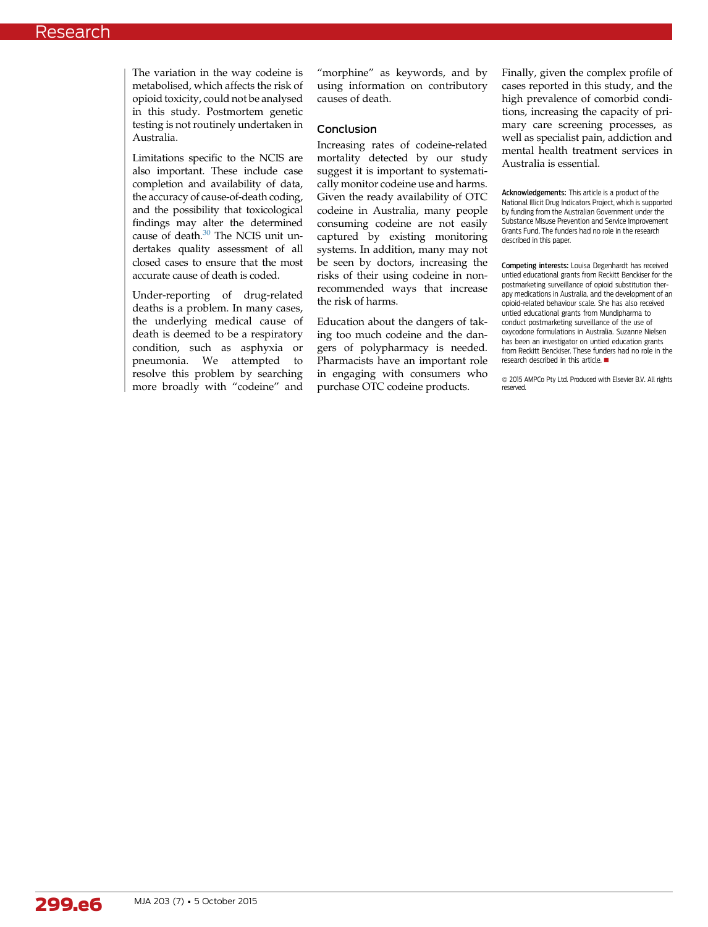The variation in the way codeine is metabolised, which affects the risk of opioid toxicity, could not be analysed in this study. Postmortem genetic testing is not routinely undertaken in Australia.

Limitations specific to the NCIS are also important. These include case completion and availability of data, the accuracy of cause-of-death coding, and the possibility that toxicological findings may alter the determined cause of death.<sup>30</sup> The NCIS unit undertakes quality assessment of all closed cases to ensure that the most accurate cause of death is coded.

Under-reporting of drug-related deaths is a problem. In many cases, the underlying medical cause of death is deemed to be a respiratory condition, such as asphyxia or pneumonia. We attempted to resolve this problem by searching more broadly with "codeine" and

"morphine" as keywords, and by using information on contributory causes of death.

#### Conclusion

Increasing rates of codeine-related mortality detected by our study suggest it is important to systematically monitor codeine use and harms. Given the ready availability of OTC codeine in Australia, many people consuming codeine are not easily captured by existing monitoring systems. In addition, many may not be seen by doctors, increasing the risks of their using codeine in nonrecommended ways that increase the risk of harms.

Education about the dangers of taking too much codeine and the dangers of polypharmacy is needed. Pharmacists have an important role in engaging with consumers who purchase OTC codeine products.

Finally, given the complex profile of cases reported in this study, and the high prevalence of comorbid conditions, increasing the capacity of primary care screening processes, as well as specialist pain, addiction and mental health treatment services in Australia is essential.

Acknowledgements: This article is a product of the National Illicit Drug Indicators Project, which is supported by funding from the Australian Government under the Substance Misuse Prevention and Service Improvement Grants Fund. The funders had no role in the research described in this paper.

Competing interests: Louisa Degenhardt has received untied educational grants from Reckitt Benckiser for the postmarketing surveillance of opioid substitution therapy medications in Australia, and the development of an opioid-related behaviour scale. She has also received untied educational grants from Mundipharma to conduct postmarketing surveillance of the use of oxycodone formulations in Australia. Suzanne Nielsen has been an investigator on untied education grants from Reckitt Benckiser. These funders had no role in the research described in this article.  $\blacksquare$ 

 $\odot$  2015 AMPCo Pty Ltd. Produced with Elsevier B.V. All rights reserved.